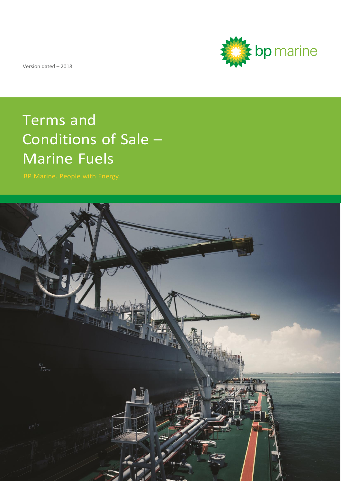Version dated – 2018



# Terms and Conditions of Sale – Marine Fuels

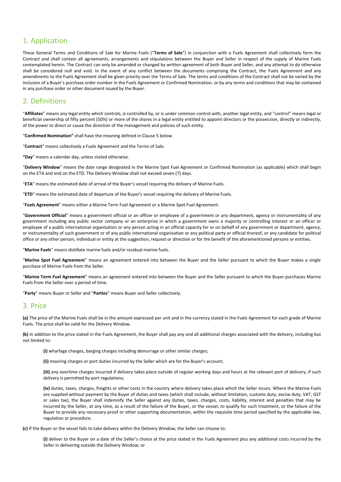# 1. Application

These General Terms and Conditions of Sale for Marine Fuels ("**Terms of Sale**") in conjunction with a Fuels Agreement shall collectively form the Contract and shall contain all agreements, arrangements and stipulations between the Buyer and Seller in respect of the supply of Marine Fuels contemplated herein. The Contract can only be amended or changed by written agreement of both Buyer and Seller, and any attempt to do otherwise shall be considered null and void. In the event of any conflict between the documents comprising the Contract, the Fuels Agreement and any amendments to the Fuels Agreement shall be given priority over the Terms of Sale. The terms and conditions of the Contract shall not be varied by the inclusion of a Buyer's purchase order number in the Fuels Agreement or Confirmed Nomination, or by any terms and conditions that may be contained in any purchase order or other document issued by the Buyer.

# 2. Definitions

"**Affiliates**" means any legal entity which controls, is controlled by, or is under common control with, another legal entity, and "control" means legal or beneficial ownership of fifty percent (50%) or more of the shares in a legal entity entitled to appoint directors or the possession, directly or indirectly, of the power to direct or cause the direction of the management and policies of such entity.

"**Confirmed Nomination"** shall have the meaning defined in Clause 5 below.

"**Contract**" means collectively a Fuels Agreement and the Terms of Sale.

**"Day**" means a calendar day, unless stated otherwise.

"**Delivery Window**" means the date range designated in the Marine Spot Fuel Agreement or Confirmed Nomination (as applicable) which shall begin on the ETA and end on the ETD. The Delivery Window shall not exceed seven (7) days.

"**ETA**" means the estimated date of arrival of the Buyer's vessel requiring the delivery of Marine Fuels.

"**ETD**" means the estimated date of departure of the Buyer's vessel requiring the delivery of Marine Fuels.

"**Fuels Agreement**" means either a Marine Term Fuel Agreement or a Marine Spot Fuel Agreement.

"**Government Official**" means a government official or an officer or employee of a government or any department, agency or instrumentality of any government including any public sector company or an enterprise in which a government owns a majority or controlling interest or an officer or employee of a public international organisation or any person acting in an official capacity for or on behalf of any government or department, agency, or instrumentality of such government or of any public international organisation or any political party or official thereof, or any candidate for political office or any other person, individual or entity at the suggestion, request or direction or for the benefit of the aforementioned persons or entities.

"**Marine Fuels**" means distillate marine fuels and/or residual marine fuels.

"**Marine Spot Fuel Agreement**" means an agreement entered into between the Buyer and the Seller pursuant to which the Buyer makes a single purchase of Marine Fuels from the Seller.

"**Marine Term Fuel Agreement**" means an agreement entered into between the Buyer and the Seller pursuant to which the Buyer purchases Marine Fuels from the Seller over a period of time.

"**Party**" means Buyer or Seller and "**Parties**" means Buyer and Seller collectively.

#### 3. Price

**(a)** The price of the Marine Fuels shall be in the amount expressed per unit and in the currency stated in the Fuels Agreement for each grade of Marine Fuels. The price shall be valid for the Delivery Window.

**(b)** In addition to the price stated in the Fuels Agreement, the Buyer shall pay any and all additional charges associated with the delivery, including but not limited to:

**(i)** wharfage charges, barging charges including demurrage or other similar charges;

**(ii)** mooring charges or port duties incurred by the Seller which are for the Buyer's account;

**(iii)** any overtime charges incurred if delivery takes place outside of regular working days and hours at the relevant port of delivery, if such delivery is permitted by port regulations;

**(iv)** duties, taxes, charges, freights or other costs in the country where delivery takes place which the Seller incurs. Where the Marine Fuels are supplied without payment by the Buyer of duties and taxes (which shall include, without limitation, customs duty, excise duty, VAT, GST or sales tax), the Buyer shall indemnify the Seller against any duties, taxes, charges, costs, liability, interest and penalties that may be incurred by the Seller, at any time, as a result of the failure of the Buyer, or the vessel, to qualify for such treatment, or the failure of the Buyer to provide any necessary proof or other supporting documentation, within the requisite time period specified by the applicable law, regulation or procedure.

**(c)** If the Buyer or the vessel fails to take delivery within the Delivery Window, the Seller can choose to:

**(i)** deliver to the Buyer on a date of the Seller's choice at the price stated in the Fuels Agreement plus any additional costs incurred by the Seller in delivering outside the Delivery Window; or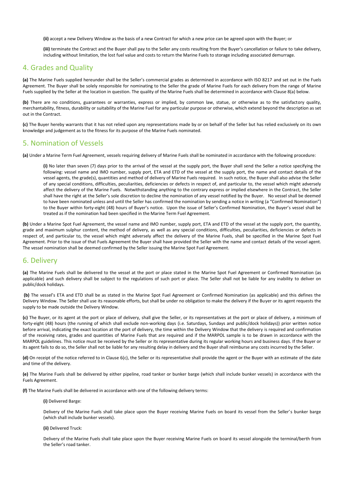**(ii)** accept a new Delivery Window as the basis of a new Contract for which a new price can be agreed upon with the Buyer; or

**(iii)** terminate the Contract and the Buyer shall pay to the Seller any costs resulting from the Buyer's cancellation or failure to take delivery, including without limitation, the lost fuel value and costs to return the Marine Fuels to storage including associated demurrage.

#### 4. Grades and Quality

**(a)** The Marine Fuels supplied hereunder shall be the Seller's commercial grades as determined in accordance with ISO 8217 and set out in the Fuels Agreement. The Buyer shall be solely responsible for nominating to the Seller the grade of Marine Fuels for each delivery from the range of Marine Fuels supplied by the Seller at the location in question. The quality of the Marine Fuels shall be determined in accordance with Clause 8(a) below.

**(b)** There are no conditions, guarantees or warranties, express or implied, by common law, statue, or otherwise as to the satisfactory quality, merchantability, fitness, durability or suitability of the Marine Fuel for any particular purpose or otherwise, which extend beyond the description as set out in the Contract.

**(c)** The Buyer hereby warrants that it has not relied upon any representations made by or on behalf of the Seller but has relied exclusively on its own knowledge and judgement as to the fitness for its purpose of the Marine Fuels nominated.

# 5. Nomination of Vessels

**(a)** Under a Marine Term Fuel Agreement, vessels requiring delivery of Marine Fuels shall be nominated in accordance with the following procedure:

**(i)** No later than seven (7) days prior to the arrival of the vessel at the supply port, the Buyer shall send the Seller a notice specifying the following: vessel name and IMO number, supply port, ETA and ETD of the vessel at the supply port, the name and contact details of the vessel agents, the grade(s), quantities and method of delivery of Marine Fuels required. In such notice, the Buyer shall also advise the Seller of any special conditions, difficulties, peculiarities, deficiencies or defects in respect of, and particular to, the vessel which might adversely affect the delivery of the Marine Fuels. Notwithstanding anything to the contrary express or implied elsewhere in the Contract, the Seller shall have the right at the Seller's sole discretion to decline the nomination of any vessel notified by the Buyer. No vessel shall be deemed to have been nominated unless and until the Seller has confirmed the nomination by sending a notice in writing (a "Confirmed Nomination") to the Buyer within forty-eight (48) hours of Buyer's notice. Upon the issue of Seller's Confirmed Nomination, the Buyer's vessel shall be treated as if the nomination had been specified in the Marine Term Fuel Agreement.

**(b)** Under a Marine Spot Fuel Agreement, the vessel name and IMO number, supply port, ETA and ETD of the vessel at the supply port, the quantity, grade and maximum sulphur content, the method of delivery, as well as any special conditions, difficulties, peculiarities, deficiencies or defects in respect of, and particular to, the vessel which might adversely affect the delivery of the Marine Fuels, shall be specified in the Marine Spot Fuel Agreement. Prior to the issue of that Fuels Agreement the Buyer shall have provided the Seller with the name and contact details of the vessel agent. The vessel nomination shall be deemed confirmed by the Seller issuing the Marine Spot Fuel Agreement.

# 6. Delivery

**(a)** The Marine Fuels shall be delivered to the vessel at the port or place stated in the Marine Spot Fuel Agreement or Confirmed Nomination (as applicable) and such delivery shall be subject to the regulations of such port or place. The Seller shall not be liable for any inability to deliver on public/dock holidays.

**(b)** The vessel's ETA and ETD shall be as stated in the Marine Spot Fuel Agreement or Confirmed Nomination (as applicable) and this defines the Delivery Window. The Seller shall use its reasonable efforts, but shall be under no obligation to make the delivery if the Buyer or its agent requests the supply to be made outside the Delivery Window.

**(c)** The Buyer, or its agent at the port or place of delivery, shall give the Seller, or its representatives at the port or place of delivery, a minimum of forty-eight (48) hours (the running of which shall exclude non-working days (i.e. Saturdays, Sundays and public/dock holidays)) prior written notice before arrival, indicating the exact location at the port of delivery, the time within the Delivery Window that the delivery is required and confirmation of the receiving rates, grades and quantities of Marine Fuels that are required and if the MARPOL sample is to be drawn in accordance with the MARPOL guidelines. This notice must be received by the Seller or its representative during its regular working hours and business days. If the Buyer or its agent fails to do so, the Seller shall not be liable for any resulting delay in delivery and the Buyer shall reimburse any costs incurred by the Seller.

**(d)** On receipt of the notice referred to in Clause 6(c), the Seller or its representative shall provide the agent or the Buyer with an estimate of the date and time of the delivery.

**(e)** The Marine Fuels shall be delivered by either pipeline, road tanker or bunker barge (which shall include bunker vessels) in accordance with the Fuels Agreement.

**(f)** The Marine Fuels shall be delivered in accordance with one of the following delivery terms:

**(i)** Delivered Barge:

Delivery of the Marine Fuels shall take place upon the Buyer receiving Marine Fuels on board its vessel from the Seller's bunker barge (which shall include bunker vessels).

#### **(ii)** Delivered Truck:

Delivery of the Marine Fuels shall take place upon the Buyer receiving Marine Fuels on board its vessel alongside the terminal/berth from the Seller's road tanker.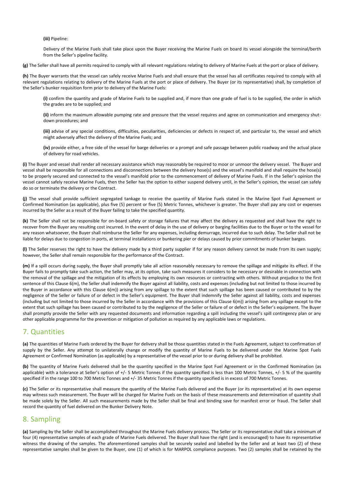**(iii)** Pipeline:

Delivery of the Marine Fuels shall take place upon the Buyer receiving the Marine Fuels on board its vessel alongside the terminal/berth from the Seller's pipeline facility.

**(g)** The Seller shall have all permits required to comply with all relevant regulations relating to delivery of Marine Fuels at the port or place of delivery.

**(h)** The Buyer warrants that the vessel can safely receive Marine Fuels and shall ensure that the vessel has all certificates required to comply with all relevant regulations relating to delivery of the Marine Fuels at the port or place of delivery. The Buyer (or its representative) shall, by completion of the Seller's bunker requisition form prior to delivery of the Marine Fuels:

**(i)** confirm the quantity and grade of Marine Fuels to be supplied and, if more than one grade of fuel is to be supplied, the order in which the grades are to be supplied; and

**(ii)** inform the maximum allowable pumping rate and pressure that the vessel requires and agree on communication and emergency shutdown procedures; and

**(iii)** advise of any special conditions, difficulties, peculiarities, deficiencies or defects in respect of, and particular to, the vessel and which might adversely affect the delivery of the Marine Fuels; and

**(iv)** provide either, a free side of the vessel for barge deliveries or a prompt and safe passage between public roadway and the actual place of delivery for road vehicles.

**(i)** The Buyer and vessel shall render all necessary assistance which may reasonably be required to moor or unmoor the delivery vessel. The Buyer and vessel shall be responsible for all connections and disconnections between the delivery hose(s) and the vessel's manifold and shall require the hose(s) to be properly secured and connected to the vessel's manifold prior to the commencement of delivery of Marine Fuels. If in the Seller's opinion the vessel cannot safely receive Marine Fuels, then the Seller has the option to either suspend delivery until, in the Seller's opinion, the vessel can safely do so or terminate the delivery or the Contract.

**(j)** The vessel shall provide sufficient segregated tankage to receive the quantity of Marine Fuels stated in the Marine Spot Fuel Agreement or Confirmed Nomination (as applicable), plus five (5) percent or five (5) Metric Tonnes, whichever is greater. The Buyer shall pay any cost or expenses incurred by the Seller as a result of the Buyer failing to take the specified quantity.

**(k)** The Seller shall not be responsible for on-board safety or storage failures that may affect the delivery as requested and shall have the right to recover from the Buyer any resulting cost incurred. In the event of delay in the use of delivery or barging facilities due to the Buyer or to the vessel for any reason whatsoever, the Buyer shall reimburse the Seller for any expenses, including demurrage, incurred due to such delay. The Seller shall not be liable for delays due to congestion in ports, at terminal installations or bunkering pier or delays caused by prior commitments of bunker barges.

**(l)** The Seller reserves the right to have the delivery made by a third party supplier if for any reason delivery cannot be made from its own supply; however, the Seller shall remain responsible for the performance of the Contract.

**(m)** If a spill occurs during supply, the Buyer shall promptly take all action reasonably necessary to remove the spillage and mitigate its effect. If the Buyer fails to promptly take such action, the Seller may, at its option, take such measures it considers to be necessary or desirable in connection with the removal of the spillage and the mitigation of its effects by employing its own resources or contracting with others. Without prejudice to the first sentence of this Clause 6(m), the Seller shall indemnify the Buyer against all liability, costs and expenses (including but not limited to those incurred by the Buyer in accordance with this Clause 6(m)) arising from any spillage to the extent that such spillage has been caused or contributed to by the negligence of the Seller or failure of or defect in the Seller's equipment. The Buyer shall indemnify the Seller against all liability, costs and expenses (including but not limited to those incurred by the Seller in accordance with the provisions of this Clause 6(m)) arising from any spillage except to the extent that such spillage has been caused or contributed to by the negligence of the Seller or failure of or defect in the Seller's equipment. The Buyer shall promptly provide the Seller with any requested documents and information regarding a spill including the vessel's spill contingency plan or any other applicable programme for the prevention or mitigation of pollution as required by any applicable laws or regulations.

# 7. Quantities

**(a)** The quantities of Marine Fuels ordered by the Buyer for delivery shall be those quantities stated in the Fuels Agreement, subject to confirmation of supply by the Seller. Any attempt to unilaterally change or modify the quantity of Marine Fuels to be delivered under the Marine Spot Fuels Agreement or Confirmed Nomination (as applicable) by a representative of the vessel prior to or during delivery shall be prohibited.

**(b)** The quantity of Marine Fuels delivered shall be the quantity specified in the Marine Spot Fuel Agreement or in the Confirmed Nomination (as applicable) with a tolerance at Seller's option of +/- 5 Metric Tonnes if the quantity specified is less than 100 Metric Tonnes, +/- 5 % of the quantity specified if in the range 100 to 700 Metric Tonnes and +/- 35 Metric Tonnes if the quantity specified is in excess of 700 Metric Tonnes.

**(c)** The Seller or its representative shall measure the quantity of the Marine Fuels delivered and the Buyer (or its representative) at its own expense may witness such measurement. The Buyer will be charged for Marine Fuels on the basis of these measurements and determination of quantity shall be made solely by the Seller. All such measurements made by the Seller shall be final and binding save for manifest error or fraud. The Seller shall record the quantity of fuel delivered on the Bunker Delivery Note.

# 8. Sampling

**(a)** Sampling by the Seller shall be accomplished throughout the Marine Fuels delivery process. The Seller or its representative shall take a minimum of four (4) representative samples of each grade of Marine Fuels delivered. The Buyer shall have the right (and is encouraged) to have its representative witness the drawing of the samples. The aforementioned samples shall be securely sealed and labelled by the Seller and at least two (2) of these representative samples shall be given to the Buyer, one (1) of which is for MARPOL compliance purposes. Two (2) samples shall be retained by the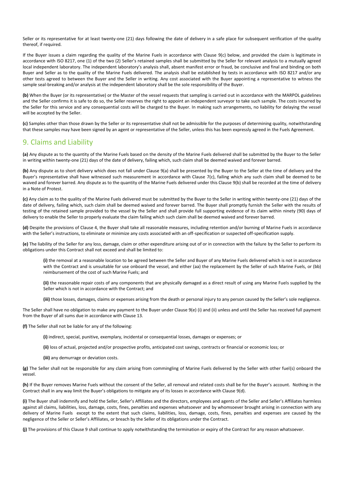Seller or its representative for at least twenty-one (21) days following the date of delivery in a safe place for subsequent verification of the quality thereof, if required.

If the Buyer issues a claim regarding the quality of the Marine Fuels in accordance with Clause 9(c) below, and provided the claim is legitimate in accordance with ISO 8217, one (1) of the two (2) Seller's retained samples shall be submitted by the Seller for relevant analysis to a mutually agreed local independent laboratory. The independent laboratory's analysis shall, absent manifest error or fraud, be conclusive and final and binding on both Buyer and Seller as to the quality of the Marine Fuels delivered. The analysis shall be established by tests in accordance with ISO 8217 and/or any other tests agreed to between the Buyer and the Seller in writing. Any cost associated with the Buyer appointing a representative to witness the sample seal-breaking and/or analysis at the independent laboratory shall be the sole responsibility of the Buyer.

**(b)** When the Buyer (or its representative) or the Master of the vessel requests that sampling is carried out in accordance with the MARPOL guidelines and the Seller confirms it is safe to do so, the Seller reserves the right to appoint an independent surveyor to take such sample. The costs incurred by the Seller for this service and any consequential costs will be charged to the Buyer. In making such arrangements, no liability for delaying the vessel will be accepted by the Seller.

**(c)** Samples other than those drawn by the Seller or its representative shall not be admissible for the purposes of determining quality, notwithstanding that these samples may have been signed by an agent or representative of the Seller, unless this has been expressly agreed in the Fuels Agreement.

# 9. Claims and Liability

**(a)** Any dispute as to the quantity of the Marine Fuels based on the density of the Marine Fuels delivered shall be submitted by the Buyer to the Seller in writing within twenty-one (21) days of the date of delivery, failing which, such claim shall be deemed waived and forever barred.

**(b)** Any dispute as to short delivery which does not fall under Clause 9(a) shall be presented by the Buyer to the Seller at the time of delivery and the Buyer's representative shall have witnessed such measurement in accordance with Clause 7(c), failing which any such claim shall be deemed to be waived and forever barred. Any dispute as to the quantity of the Marine Fuels delivered under this Clause 9(b) shall be recorded at the time of delivery in a Note of Protest.

**(c)** Any claim as to the quality of the Marine Fuels delivered must be submitted by the Buyer to the Seller in writing within twenty-one (21) days of the date of delivery, failing which, such claim shall be deemed waived and forever barred. The Buyer shall promptly furnish the Seller with the results of testing of the retained sample provided to the vessel by the Seller and shall provide full supporting evidence of its claim within ninety (90) days of delivery to enable the Seller to properly evaluate the claim failing which such claim shall be deemed waived and forever barred.

**(d)** Despite the provisions of Clause 4, the Buyer shall take all reasonable measures, including retention and/or burning of Marine Fuels in accordance with the Seller's instructions, to eliminate or minimize any costs associated with an off-specification or suspected off-specification supply.

**(e)** The liability of the Seller for any loss, damage, claim or other expenditure arising out of or in connection with the failure by the Seller to perform its obligations under this Contract shall not exceed and shall be limited to:

**(i)** the removal at a reasonable location to be agreed between the Seller and Buyer of any Marine Fuels delivered which is not in accordance with the Contract and is unsuitable for use onboard the vessel, and either (aa) the replacement by the Seller of such Marine Fuels, or (bb) reimbursement of the cost of such Marine Fuels; and

**(ii)** the reasonable repair costs of any components that are physically damaged as a direct result of using any Marine Fuels supplied by the Seller which is not in accordance with the Contract; and

**(iii)** those losses, damages, claims or expenses arising from the death or personal injury to any person caused by the Seller's sole negligence.

The Seller shall have no obligation to make any payment to the Buyer under Clause 9(e) (i) and (ii) unless and until the Seller has received full payment from the Buyer of all sums due in accordance with Clause 13.

**(f)** The Seller shall not be liable for any of the following:

**(i)** indirect, special, punitive, exemplary, incidental or consequential losses, damages or expenses; or

**(ii)** loss of actual, projected and/or prospective profits, anticipated cost savings, contracts or financial or economic loss; or

**(iii)** any demurrage or deviation costs.

**(g)** The Seller shall not be responsible for any claim arising from commingling of Marine Fuels delivered by the Seller with other fuel(s) onboard the vessel.

**(h)** If the Buyer removes Marine Fuels without the consent of the Seller, all removal and related costs shall be for the Buyer's account. Nothing in the Contract shall in any way limit the Buyer's obligations to mitigate any of its losses in accordance with Clause 9(d).

**(i)** The Buyer shall indemnify and hold the Seller, Seller's Affiliates and the directors, employees and agents of the Seller and Seller's Affiliates harmless against all claims, liabilities, loss, damage, costs, fines, penalties and expenses whatsoever and by whomsoever brought arising in connection with any delivery of Marine Fuels except to the extent that such claims, liabilities, loss, damage, costs, fines, penalties and expenses are caused by the negligence of the Seller or Seller's Affiliates, or breach by the Seller of its obligations under the Contract.

**(j)** The provisions of this Clause 9 shall continue to apply notwithstanding the termination or expiry of the Contract for any reason whatsoever.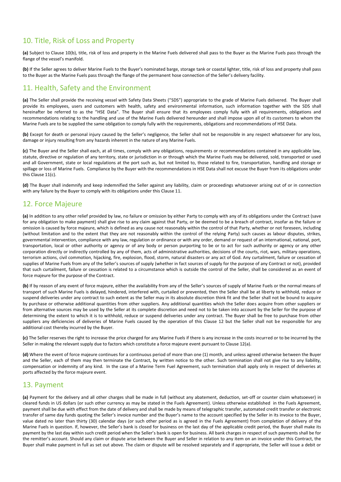# 10. Title, Risk of Loss and Property

**(a)** Subject to Clause 10(b), title, risk of loss and property in the Marine Fuels delivered shall pass to the Buyer as the Marine Fuels pass through the flange of the vessel's manifold.

**(b)** If the Seller agrees to deliver Marine Fuels to the Buyer's nominated barge, storage tank or coastal lighter, title, risk of loss and property shall pass to the Buyer as the Marine Fuels pass through the flange of the permanent hose connection of the Seller's delivery facility.

# 11. Health, Safety and the Environment

**(a)** The Seller shall provide the receiving vessel with Safety Data Sheets ("SDS") appropriate to the grade of Marine Fuels delivered. The Buyer shall provide its employees, users and customers with health, safety and environmental information, such information together with the SDS shall hereinafter be referred to as the "HSE Data". The Buyer shall ensure that its employees comply fully with all requirements, obligations and recommendations relating to the handling and use of the Marine Fuels delivered hereunder and shall impose upon all of its customers to whom the Marine Fuels are to be supplied the same obligation to comply fully with the requirements, obligations and recommendations of HSE Data.

**(b)** Except for death or personal injury caused by the Seller's negligence, the Seller shall not be responsible in any respect whatsoever for any loss, damage or injury resulting from any hazards inherent in the nature of any Marine Fuels.

**(c)** The Buyer and the Seller shall each, at all times, comply with any obligations, requirements or recommendations contained in any applicable law, statute, directive or regulation of any territory, state or jurisdiction in or through which the Marine Fuels may be delivered, sold, transported or used and all Government, state or local regulations at the port such as, but not limited to, those related to fire, transportation, handling and storage or spillage or loss of Marine Fuels. Compliance by the Buyer with the recommendations in HSE Data shall not excuse the Buyer from its obligations under this Clause 11(c).

**(d)** The Buyer shall indemnify and keep indemnified the Seller against any liability, claim or proceedings whatsoever arising out of or in connection with any failure by the Buyer to comply with its obligations under this Clause 11.

# 12. Force Majeure

**(a)** In addition to any other relief provided by law, no failure or omission by either Party to comply with any of its obligations under the Contract (save for any obligation to make payment) shall give rise to any claim against that Party, or be deemed to be a breach of contract, insofar as the failure or omission is caused by force majeure, which is defined as any cause not reasonably within the control of that Party, whether or not foreseen, including (without limitation and to the extent that they are not reasonably within the control of the relying Party) such causes as labour disputes, strikes, governmental intervention, compliance with any law, regulation or ordinance or with any order, demand or request of an international, national, port, transportation, local or other authority or agency or of any body or person purporting to be or to act for such authority or agency or any other corporation directly or indirectly controlled by any of them, acts of administrative authorities, decisions of the courts, riot, wars, military operations, terrorism actions, civil commotion, hijacking, fire, explosion, flood, storm, natural disasters or any act of God. Any curtailment, failure or cessation of supplies of Marine Fuels from any of the Seller's sources of supply (whether in fact sources of supply for the purpose of any Contract or not), provided that such curtailment, failure or cessation is related to a circumstance which is outside the control of the Seller, shall be considered as an event of force majeure for the purpose of the Contract.

**(b)** If by reason of any event of force majeure, either the availability from any of the Seller's sources of supply of Marine Fuels or the normal means of transport of such Marine Fuels is delayed, hindered, interfered with, curtailed or prevented, then the Seller shall be at liberty to withhold, reduce or suspend deliveries under any contract to such extent as the Seller may in its absolute discretion think fit and the Seller shall not be bound to acquire by purchase or otherwise additional quantities from other suppliers. Any additional quantities which the Seller does acquire from other suppliers or from alternative sources may be used by the Seller at its complete discretion and need not to be taken into account by the Seller for the purpose of determining the extent to which it is to withhold, reduce or suspend deliveries under any contract. The Buyer shall be free to purchase from other suppliers any deficiencies of deliveries of Marine Fuels caused by the operation of this Clause 12 but the Seller shall not be responsible for any additional cost thereby incurred by the Buyer.

**(c)** The Seller reserves the right to increase the price charged for any Marine Fuels if there is any increase in the costs incurred or to be incurred by the Seller in making the relevant supply due to factors which constitute a force majeure event pursuant to Clause 12(a).

**(d)** Where the event of force majeure continues for a continuous period of more than one (1) month, and unless agreed otherwise between the Buyer and the Seller, each of them may then terminate the Contract, by written notice to the other. Such termination shall not give rise to any liability, compensation or indemnity of any kind. In the case of a Marine Term Fuel Agreement, such termination shall apply only in respect of deliveries at ports affected by the force majeure event.

# 13. Payment

**(a)** Payment for the delivery and all other charges shall be made in full (without any abatement, deduction, set-off or counter claim whatsoever) in cleared funds in US dollars (or such other currency as may be stated in the Fuels Agreement). Unless otherwise established in the Fuels Agreement, payment shall be due with effect from the date of delivery and shall be made by means of telegraphic transfer, automated credit transfer or electronic transfer of same day funds quoting the Seller's invoice number and the Buyer's name to the account specified by the Seller in its invoice to the Buyer, value dated no later than thirty (30) calendar days (or such other period as is agreed in the Fuels Agreement) from completion of delivery of the Marine Fuels in question. If, however, the Seller's bank is closed for business on the last day of the applicable credit period, the Buyer shall make its payment by the last day within such credit period when the Seller's bank is open for business. All bank charges in respect of such payments shall be for the remitter's account. Should any claim or dispute arise between the Buyer and Seller in relation to any item on an invoice under this Contract, the Buyer shall make payment in full as set out above. The claim or dispute will be resolved separately and if appropriate, the Seller will issue a debit or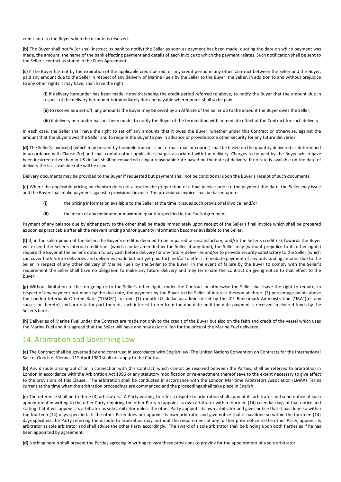credit note to the Buyer when the dispute is resolved.

**(b)** The Buyer shall notify (or shall instruct its bank to notify) the Seller as soon as payment has been made, quoting the date on which payment was made, the amount, the name of the bank effecting payment and details of each invoice to which the payment relates. Such notification shall be sent to the Seller's contact as stated in the Fuels Agreement.

**(c)** If the Buyer has not by the expiration of the applicable credit period, or any credit period in any other Contract between the Seller and the Buyer, paid any amount due to the Seller in respect of any delivery of Marine Fuels by the Seller to the Buyer, the Seller, in addition to and without prejudice to any other rights it may have, shall have the right:

**(i)** if delivery hereunder has been made, notwithstanding the credit period referred to above, to notify the Buyer that the amount due in respect of the delivery hereunder is immediately due and payable whereupon it shall so be paid;

**(ii)** to receive as a set-off, any amounts the Buyer may be owed by an Affiliate of the Seller up to the amount the Buyer owes the Seller;

**(iii)** if delivery hereunder has not been made, to notify the Buyer of the termination with immediate effect of the Contract for such delivery.

In each case, the Seller shall have the right to set off any amounts that it owes the Buyer, whether under this Contract or otherwise, against the amount that the Buyer owes the Seller and to require the Buyer to pay in advance or provide some other security for any future deliveries.

**(d)** The Seller's invoice(s) (which may be sent by facsimile transmission, e-mail, mail or courier) shall be based on the quantity delivered as determined in accordance with Clause 7(c) and shall contain other applicable charges associated with the delivery. Charges to be paid by the Buyer which have been incurred other than in US dollars shall be converted using a reasonable rate based on the date of delivery. If no rate is available on the date of delivery the last available rate will be used.

Delivery documents may be provided to the Buyer if requested but payment shall not be conditional upon the Buyer's receipt of such documents.

**(e)** Where the applicable pricing mechanism does not allow for the preparation of a final invoice prior to the payment due date, the Seller may issue and the Buyer shall make payment against a provisional invoice. The provisional invoice shall be based upon:

- **(i)** the pricing information available to the Seller at the time it issues such provisional invoice; and/or
- **(ii)** the mean of any minimum or maximum quantity specified in the Fuels Agreement.

Payment of any balance due by either party to the other shall be made immediately upon receipt of the Seller's final invoice which shall be prepared as soon as practicable after all the relevant pricing and/or quantity information becomes available to the Seller.

**(f)** If, in the sole opinion of the Seller, the Buyer's credit is deemed to be impaired or unsatisfactory; and/or the Seller's credit risk towards the Buyer will exceed the Seller's internal credit limit (which can be amended by the Seller at any time), the Seller may (without prejudice to its other rights) require the Buyer at the Seller's option to pay cash before delivery for any future deliveries and/or to provide security satisfactory to the Seller (which can cover both future deliveries and deliveries made but not yet paid for) and/or to effect immediate payment of any outstanding amount due to the Seller in respect of any other delivery of Marine Fuels by the Seller to the Buyer. In the event of failure by the Buyer to comply with the Seller's requirement the Seller shall have no obligation to make any future delivery and may terminate the Contract on giving notice to that effect to the Buyer.

**(g)** Without limitation to the foregoing or to the Seller's other rights under the Contract or otherwise the Seller shall have the right to require, in respect of any payment not made by the due date, the payment by the Buyer to the Seller of interest thereon at three (3) percentage points above the London Interbank Offered Rate ("LIBOR") for one (1) month US dollar as administered by the ICE Benchmark Administration ("IBA")(or any successor thereto), and pro rata for part thereof, such interest to run from the due date until the date payment is received in cleared funds by the Seller's bank.

**(h)** Deliveries of Marine Fuel under the Contract are made not only to the credit of the Buyer but also on the faith and credit of the vessel which uses the Marine Fuel and it is agreed that the Seller will have and may assert a lien for the price of the Marine Fuel delivered.

# 14. Arbitration and Governing Law

**(a)** The Contract shall be governed by and construed in accordance with English law. The United Nations Convention on Contracts for the International Sale of Goods of Vienna, 11<sup>th</sup> April 1980 shall not apply to the Contract.

**(b)** Any dispute arising out of or in connection with this Contract, which cannot be resolved between the Parties, shall be referred to arbitration in London in accordance with the Arbitration Act 1996 or any statutory modification or re-enactment thereof save to the extent necessary to give effect to the provisions of this Clause. The arbitration shall be conducted in accordance with the London Maritime Arbitrators Association (LMAA) Terms current at the time when the arbitration proceedings are commenced and the proceedings shall take place in English.

**(c)** The reference shall be to three (3) arbitrators. A Party wishing to refer a dispute to arbitration shall appoint its arbitrator and send notice of such appointment in writing to the other Party requiring the other Party to appoint its own arbitrator within fourteen (14) calendar days of that notice and stating that it will appoint its arbitrator as sole arbitrator unless the other Party appoints its own arbitrator and gives notice that it has done so within the fourteen (14) days specified. If the other Party does not appoint its own arbitrator and give notice that it has done so within the fourteen (14) days specified, the Party referring the dispute to arbitration may, without the requirement of any further prior notice to the other Party, appoint its arbitrator as sole arbitrator and shall advise the other Party accordingly. The award of a sole arbitrator shall be binding upon both Parties as if he has been appointed by agreement.

**(d)** Nothing herein shall prevent the Parties agreeing in writing to vary these provisions to provide for the appointment of a sole arbitrator.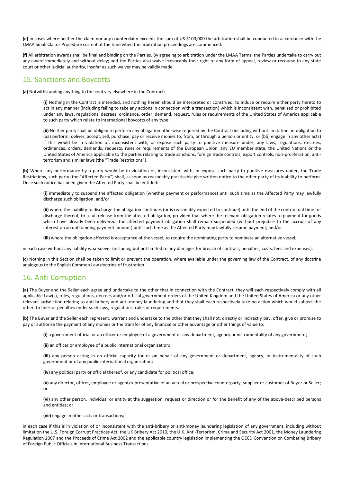**(e)** In cases where neither the claim nor any counterclaim exceeds the sum of US \$100,000 the arbitration shall be conducted in accordance with the LMAA Small Claims Procedure current at the time when the arbitration proceedings are commenced.

**(f)** All arbitration awards shall be final and binding on the Parties. By agreeing to arbitration under the LMAA Terms, the Parties undertake to carry out any award immediately and without delay; and the Parties also waive irrevocably their right to any form of appeal, review or recourse to any state court or other judicial authority, insofar as such waiver may be validly made.

# 15. Sanctions and Boycotts

**(a)** Notwithstanding anything to the contrary elsewhere in the Contract:

**(i)** Nothing in the Contract is intended, and nothing herein should be interpreted or construed, to induce or require either party hereto to act in any manner (including failing to take any actions in connection with a transaction) which is inconsistent with, penalised or prohibited under any laws, regulations, decrees, ordinance, order, demand, request, rules or requirements of the United States of America applicable to such party which relate to international boycotts of any type.

**(ii)** Neither party shall be obliged to perform any obligation otherwise required by the Contract (including without limitation an obligation to (aa) perform, deliver, accept, sell, purchase, pay or receive monies to, from, or through a person or entity, or (bb) engage in any other acts) if this would be in violation of, inconsistent with, or expose such party to punitive measure under, any laws, regulations, decrees, ordinances, orders, demands, requests, rules or requirements of the European Union, any EU member state, the United Nations or the United States of America applicable to the parties relating to trade sanctions, foreign trade controls, export controls, non-proliferation, antiterrorism and similar laws (the "Trade Restrictions").

**(b)** Where any performance by a party would be in violation of, inconsistent with, or expose such party to punitive measures under, the Trade Restrictions, such party (the "Affected Party") shall, as soon as reasonably practicable give written notice to the other party of its inability to perform. Once such notice has been given the Affected Party shall be entitled:

**(i)** immediately to suspend the affected obligation (whether payment or performance) until such time as the Affected Party may lawfully discharge such obligation; and/or

**(ii)** where the inability to discharge the obligation continues (or is reasonably expected to continue) until the end of the contractual time for discharge thereof, to a full release from the affected obligation, provided that where the relevant obligation relates to payment for goods which have already been delivered, the affected payment obligation shall remain suspended (without prejudice to the accrual of any interest on an outstanding payment amount) until such time as the Affected Party may lawfully resume payment; and/or

**(iii)** where the obligation affected is acceptance of the vessel, to require the nominating party to nominate an alternative vessel;

in each case without any liability whatsoever (including but not limited to any damages for breach of contract, penalties, costs, fees and expenses).

**(c)** Nothing in this Section shall be taken to limit or prevent the operation, where available under the governing law of the Contract, of any doctrine analogous to the English Common Law doctrine of frustration.

# 16. Anti-Corruption

**(a)** The Buyer and the Seller each agree and undertake to the other that in connection with the Contract, they will each respectively comply with all applicable Law(s), rules, regulations, decrees and/or official government orders of the United Kingdom and the United States of America or any other relevant jurisdiction relating to anti-bribery and anti-money laundering and that they shall each respectively take no action which would subject the other, to fines or penalties under such laws, regulations, rules or requirements.

**(b)** The Buyer and the Seller each represent, warrant and undertake to the other that they shall not, directly or indirectly pay, offer, give or promise to pay or authorise the payment of any monies or the transfer of any financial or other advantage or other things of value to:

**(i)** a government official or an officer or employee of a government or any department, agency or instrumentality of any government;

**(ii)** an officer or employee of a public international organization;

**(iii)** any person acting in an official capacity for or on behalf of any government or department, agency, or instrumentality of such government or of any public international organization;

**(iv)** any political party or official thereof, or any candidate for political office;

**(v)** any director, officer, employee or agent/representative of an actual or prospective counterparty, supplier or customer of Buyer or Seller; or

**(vi)** any other person, individual or entity at the suggestion, request or direction or for the benefit of any of the above-described persons and entities; or

**(vii)** engage in other acts or transactions;

in each case if this is in violation of or inconsistent with the anti-bribery or anti-money laundering legislation of any government, including without limitation the U.S. Foreign Corrupt Practices Act, the UK Bribery Act 2010, the U.K. Anti-Terrorism, Crime and Security Act 2001, the Money Laundering Regulation 2007 and the Proceeds of Crime Act 2002 and the applicable country legislation implementing the OECD Convention on Combating Bribery of Foreign Public Officials in International Business Transactions.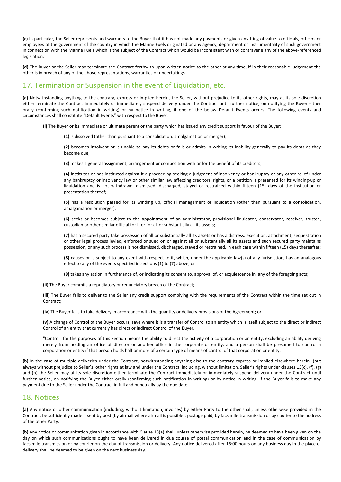**(c)** In particular, the Seller represents and warrants to the Buyer that it has not made any payments or given anything of value to officials, officers or employees of the government of the country in which the Marine Fuels originated or any agency, department or instrumentality of such government in connection with the Marine Fuels which is the subject of the Contract which would be inconsistent with or contravene any of the above-referenced legislation.

**(d)** The Buyer or the Seller may terminate the Contract forthwith upon written notice to the other at any time, if in their reasonable judgement the other is in breach of any of the above representations, warranties or undertakings.

# 17. Termination or Suspension in the event of Liquidation, etc.

**(a)** Notwithstanding anything to the contrary, express or implied herein, the Seller, without prejudice to its other rights, may at its sole discretion either terminate the Contract immediately or immediately suspend delivery under the Contract until further notice, on notifying the Buyer either orally (confirming such notification in writing) or by notice in writing, if one of the below Default Events occurs. The following events and circumstances shall constitute "Default Events" with respect to the Buyer:

**(i)** The Buyer or its immediate or ultimate parent or the party which has issued any credit support in favour of the Buyer:

**(1)** is dissolved (other than pursuant to a consolidation, amalgamation or merger);

**(2)** becomes insolvent or is unable to pay its debts or fails or admits in writing its inability generally to pay its debts as they become due;

**(3)** makes a general assignment, arrangement or composition with or for the benefit of its creditors;

**(4)** institutes or has instituted against it a proceeding seeking a judgment of insolvency or bankruptcy or any other relief under any bankruptcy or insolvency law or other similar law affecting creditors' rights, or a petition is presented for its winding-up or liquidation and is not withdrawn, dismissed, discharged, stayed or restrained within fifteen (15) days of the institution or presentation thereof;

**(5)** has a resolution passed for its winding up, official management or liquidation (other than pursuant to a consolidation, amalgamation or merger);

**(6)** seeks or becomes subject to the appointment of an administrator, provisional liquidator, conservator, receiver, trustee, custodian or other similar official for it or for all or substantially all its assets;

**(7)** has a secured party take possession of all or substantially all its assets or has a distress, execution, attachment, sequestration or other legal process levied, enforced or sued on or against all or substantially all its assets and such secured party maintains possession, or any such process is not dismissed, discharged, stayed or restrained, in each case within fifteen (15) days thereafter;

**(8)** causes or is subject to any event with respect to it, which, under the applicable law(s) of any jurisdiction, has an analogous effect to any of the events specified in sections (1) to (7) above; or

**(9)** takes any action in furtherance of, or indicating its consent to, approval of, or acquiescence in, any of the foregoing acts;

**(ii)** The Buyer commits a repudiatory or renunciatory breach of the Contract;

**(iii**) The Buyer fails to deliver to the Seller any credit support complying with the requirements of the Contract within the time set out in Contract;

**(iv)** The Buyer fails to take delivery in accordance with the quantity or delivery provisions of the Agreement; or

**(v)** A change of Control of the Buyer occurs, save where it is a transfer of Control to an entity which is itself subject to the direct or indirect Control of an entity that currently has direct or indirect Control of the Buyer.

"Control" for the purposes of this Section means the ability to direct the activity of a corporation or an entity, excluding an ability deriving merely from holding an office of director or another office in the corporate or entity, and a person shall be presumed to control a corporation or entity if that person holds half or more of a certain type of means of control of that corporation or entity.

**(b)** In the case of multiple deliveries under the Contract, notwithstanding anything else to the contrary express or implied elsewhere herein, (but always without prejudice to Seller's other rights at law and under the Contract including, without limitation, Seller's rights under clauses 13(c), (f), (g) and (h) the Seller may at its sole discretion either terminate the Contract immediately or immediately suspend delivery under the Contract until further notice, on notifying the Buyer either orally (confirming such notification in writing) or by notice in writing, if the Buyer fails to make any payment due to the Seller under the Contract in full and punctually by the due date.

#### 18. Notices

**(a)** Any notice or other communication (including, without limitation, invoices) by either Party to the other shall, unless otherwise provided in the Contract, be sufficiently made if sent by post (by airmail where airmail is possible), postage paid, by facsimile transmission or by courier to the address of the other Party.

**(b)** Any notice or communication given in accordance with Clause 18(a) shall, unless otherwise provided herein, be deemed to have been given on the day on which such communications ought to have been delivered in due course of postal communication and in the case of communication by facsimile transmission or by courier on the day of transmission or delivery. Any notice delivered after 16:00 hours on any business day in the place of delivery shall be deemed to be given on the next business day.